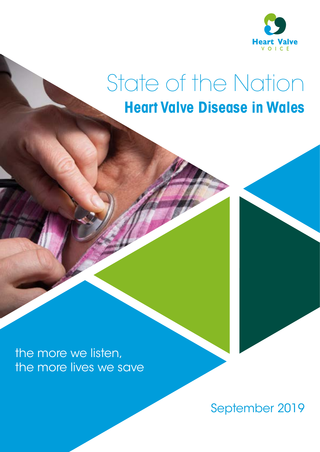

### **Heart Valve Disease in Wales** State of the Nation

the more we listen, the more lives we save

September 2019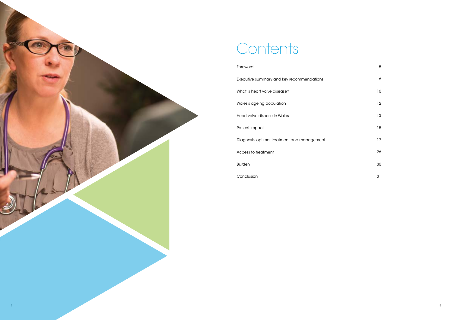## Contents

#### Foreword

Executive summary and key recommendations

What is heart valve disease?

Wales's ageing population

Heart valve disease in Wales

Patient impact

Diagnosis, optimal treatment and management

Access to treatment

Burden

Conclusion

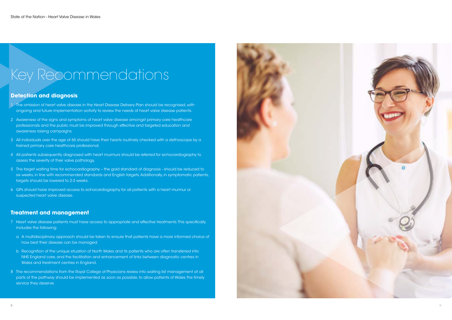# Key Recommendations

#### **Detection and diagnosis**

- 1 The omission of heart valve disease in the Heart Disease Delivery Plan should be recognised, with ongoing and future implementation activity to review the needs of heart valve disease patients.
- 2 Awareness of the signs and symptoms of heart valve disease amongst primary care healthcare professionals and the public must be improved through effective and targeted education and awareness raising campaigns.
- 3 All individuals over the age of 65 should have their hearts routinely checked with a stethoscope by a trained primary care healthcare professional.
- 4 All patients subsequently diagnosed with heart murmurs should be referred for echocardiography to assess the severity of their valve pathology.
- 5 The target waiting time for echocardiography the gold standard of diagnosis should be reduced to six weeks, in line with recommended standards and English targets. Additionally, in symptomatic patients, targets should be lowered to 2-3 weeks.
- 6 GPs should have improved access to echocardiography for all patients with a heart murmur or suspected heart valve disease.

#### **Treatment and management**

- 7 Heart valve disease patients must have access to appropriate and effective treatments. This specifically includes the following:
	- a A multidisciplinary approach should be taken to ensure that patients have a more informed choice of how best their disease can be managed.
	- b Recognition of the unique situation of North Wales and its patients who are often transferred into NHS England care, and the facilitation and enhancement of links between diagnostic centres in Wales and treatment centres in England.
- 8 The recommendations from the Royal College of Physicians review into waiting list management at all parts of the pathway should be implemented as soon as possible, to allow patients of Wales the timely service they deserve.

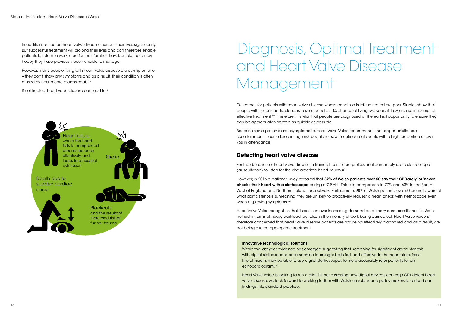In addition, untreated heart valve disease shortens their lives significantly. But successful treatment will prolong their lives and can therefore enable patients to return to work, care for their families, travel, or take up a new hobby they have previously been unable to manage.

However, many people living with heart valve disease are asymptomatic – they don't show any symptoms and, as a result, their condition is often missed by health care professionals. xiv

If not treated, heart valve disease can lead to:<sup>ii</sup>

# Diagnosis, Optimal Treatment and Heart Valve Disease Management

Outcomes for patients with heart valve disease whose condition is left untreated are poor. Studies show that people with serious aortic stenosis have around a 50% chance of living for two years, if they are not in receipt of effective treatment.xvi Therefore, it is vital that people are diagnosed at the earliest opportunity to ensure they can be appropriately treated as quickly as possible.

Because some patients are asymptomatic, Heart Valve Voice recommends that opportunistic case ascertainment is considered in high-risk populations, with outreach at events with a high proportion of over 75s in attendance.

#### **Detecting heart valve disease**

For the detection of heart valve disease, a trained health care professional can simply use a stethoscope (auscultation) to listen for the characteristic heart 'murmur'.

However, in 2016 a patient survey revealed that 82% of Welsh patients over 60 say their GP 'rarely' or 'never' checks their heart with a stethoscope during a GP visit. This is in comparison to 77% and 63% in the South West of England and Northern Ireland respectively. Furthermore, 98% of Welsh patients over 60 are not aware of what aortic stenosis is, meaning they are unlikely to proactively request a heart check with stethoscope even when displaying symptoms.<sup>xvii</sup>

Heart Valve Voice recognises that there is an ever-increasing demand on primary care practitioners in Wales, not just in terms of heavy workload, but also in the intensity of work being carried out. Heart Valve Voice is therefore concerned that heart valve disease patients are not being effectively diagnosed and, as a result, are not being offered appropriate treatment.

#### Innovative technological solutions

Within the last year, evidence has emerged suggesting that screening for significant aortic stenosis with digital stethoscopes and machine learning is both fast and effective. In the near future, frontline clinicians may be able to use digital stethoscopes to more accurately refer patients for an echocardiogram.<sup>xviii</sup>

Heart Valve Voice is looking to run a pilot further assessing how digital devices can help GPs to detect heart valve disease; we look forward to working further with Welsh clinicians and policy makers to embed our findings into standard practice.

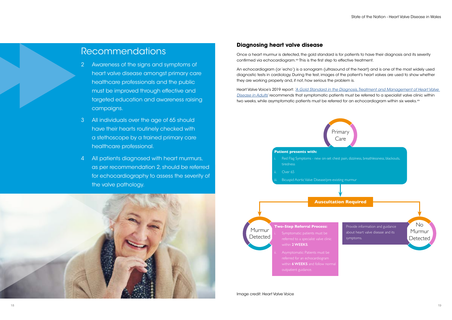

Once a heart murmur is detected, the gold standard is for patients to have their diagnosis and its severity confirmed via echocardiogram.<sup>xix</sup> This is the first step to effective treatment.

Heart Valve Voice's 2019 report: *['A Gold Standard in the Diagnosis, Treatment and Management of Heart Valve](https://heartvalvevoice.com/application/files/7915/5799/7293/Gold_Standard_of_Care_for_Heart_Valve_Disease.pdf)  [Disease in Adults](https://heartvalvevoice.com/application/files/7915/5799/7293/Gold_Standard_of_Care_for_Heart_Valve_Disease.pdf)*' recommends that symptomatic patients must be referred to a specialist valve clinic within two weeks, while asymptomatic patients must be referred for an echocardiogram within six weeks.xix

#### **Diagnosing heart valve disease**

An echocardiogram (or 'echo') is a sonogram (ultrasound of the heart) and is one of the most widely used diagnostic tests in cardiology. During the test, images of the patient's heart valves are used to show whether they are working properly and, if not, how serious the problem is.

### Recommendations

- 2 Awareness of the signs and symptoms of heart valve disease amongst primary care healthcare professionals and the public must be improved through effective and targeted education and awareness raising campaigns.
- 3 All individuals over the age of 65 should have their hearts routinely checked with a stethoscope by a trained primary care healthcare professional.
- 4 All patients diagnosed with heart murmurs, as per recommendation 2, should be referred for echocardiography to assess the severity of the valve pathology.

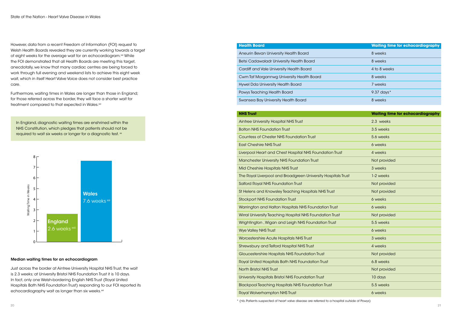Just across the border at Aintree University Hospital NHS Trust, the wait is 2.3 weeks; at University Bristol NHS Foundation Trust it is 10 days. In fact, only one Welsh-bordering English NHS Trust (Royal United Hospitals Bath NHS Foundation Trust) responding to our FOI reported its echocardiography wait as longer than six weeks.<sup>xxi</sup>

#### **Health Board**

#### Median waiting times for an echocardiogram

Furthermore, waiting times in Wales are longer than those in England; for those referred across the border, they will face a shorter wait for treatment compared to that expected in Wales.xxi

In England, diagnostic waiting times are enshrined within the NHS Constitution, which pledges that patients should not be required to wait six weeks or longer for a diagnostic test. xx

However, data from a recent Freedom of Information (FOI) request to Welsh Health Boards revealed they are currently working towards a target of eight weeks for the average wait for an echocardiogram.<sup>xxi</sup> While the FOI demonstrated that all Health Boards are meeting this target, anecdotallywe know that many cardiac centres are being forced to work through full evening and weekend lists to achieve this eight week wait, which in itself Heart Valve Voice does not consider best practice care.



| Aneurin Bevan University Health Board     | 8 weeks      |
|-------------------------------------------|--------------|
| Betsi Cadawaladr University Health Board  | 8 weeks      |
| Cardiff and Vale University Health Board  | 4 to 8 weeks |
| Cwm Taf Morgannwg University Health Board | 8 weeks      |

Hywel Dda University Health Board

Powys Teaching Health Board

Swansea Bay University Health Board

| <b>NHS Trust</b>                                              | <b>Waiting time for echocardiography</b> |
|---------------------------------------------------------------|------------------------------------------|
| Aintree University Hospital NHS Trust                         | 2.3 weeks                                |
| <b>Bolton NHS Foundation Trust</b>                            | 3.5 weeks                                |
| <b>Countess of Chester NHS Foundation Trust</b>               | 5.6 weeks                                |
| <b>East Cheshire NHS Trust</b>                                | 6 weeks                                  |
| Liverpool Heart and Chest Hospital NHS Foundation Trust       | 4 weeks                                  |
| Manchester University NHS Foundation Trust                    | Not provided                             |
| Mid Cheshire Hospitals NHS Trust                              | 3 weeks                                  |
| The Royal Liverpool and Broadgreen University Hospitals Trust | 1-2 weeks                                |
| <b>Salford Royal NHS Foundation Trust</b>                     | Not provided                             |
| St Helens and Knowsley Teaching Hospitals NHS Trust           | Not provided                             |
| <b>Stockport NHS Foundation Trust</b>                         | 6 weeks                                  |
| Warrington and Halton Hospitals NHS Foundation Trust          | 6 weeks                                  |
| Wirral University Teaching Hospital NHS Foundation Trust      | Not provided                             |
| Wrightington, Wigan and Leigh NHS Foundation Trust            | 5.5 weeks                                |
| <b>Wye Valley NHS Trust</b>                                   | 6 weeks                                  |
| Worcestershire Acute Hospitals NHS Trust                      | 3 weeks                                  |
| Shrewsbury and Telford Hospital NHS Trust                     | 4 weeks                                  |
| Gloucestershire Hospitals NHS Foundation Trust                | Not provided                             |
| Royal United Hospitals Bath NHS Foundation Trust              | 6.8 weeks                                |
| <b>North Bristol NHS Trust</b>                                | Not provided                             |
| University Hospitals Bristol NHS Foundation Trust             | 10 days                                  |
| <b>Blackpool Teaching Hospitals NHS Foundation Trust</b>      | 5.5 weeks                                |
| <b>Royal Wolverhampton NHS Trust</b>                          | 6 weeks                                  |

\* (nb. Patients suspected of heart valve disease are referred to a hospital outside of Powys)

| <b>Waiting time for echocardiography</b> |
|------------------------------------------|
| 8 weeks                                  |
| 8 weeks                                  |
| 4 to 8 weeks                             |
| 8 weeks                                  |
| 7 weeks                                  |
| 9.37 days $*$                            |
| 8 weeks                                  |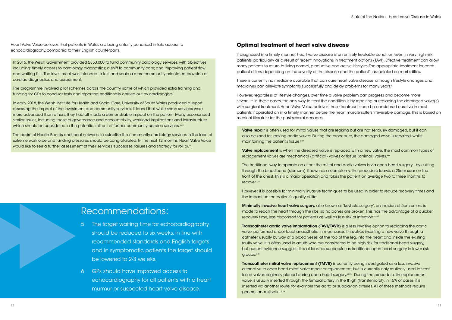Heart Valve Voice believes that patients in Wales are being unfairly penalised in late access to echocardiography, compared to their English counterparts.

In 2016, the Welsh Government provided £850,000 to fund community cardiology services, with objectives including: timely access to cardiology diagnostics; a shift to community care; and improving patient flow and waiting lists. The investment was intended to test and scale a more community-orientated provision of cardiac diagnostics and assessment.

In early 2018, the Welsh Institute for Health and Social Care, University of South Wales produced a report assessing the impact of the investment and community services. It found that while some services were more advanced than others, they had all made a demonstrable impact on the patient. Many experienced similar issues, including those of governance and accountability, workload implications and infrastructure which should be considered in the potential roll out of further community cardiac services.<sup>xxiii</sup>

The programme involved pilot schemes across the country, some of which provided extra training and funding for GPs to conduct tests and reporting traditionally carried out by cardiologists.

There is currently no medicine available that can cure heart valve disease, although lifestyle changes and medicines can alleviate symptoms successfully and delay problems for many years.<sup>i</sup>

The desire of Health Boards and local networks to establish the community cardiology services in the face of extreme workforce and funding pressures should be congratulated. In the next 12 months, Heart Valve Voice would like to see a further assessment of their services' successes, failures and strategy for roll out.

#### **Optimal treatment of heart valve disease**

The traditional way to operate on either the mitral and aortic valves is via open heart surgery - by cutting through the breastbone (sternum). Known as a sternotomy, the procedure leaves a 25cm scar on the front of the chest. This is a major operation and takes the patient on average two to three months to recover.<sup>xxvi</sup>

If diagnosed in a timely manner, heart valve disease is an entirely treatable condition even in very high risk patients, particularly as a result of recent innovations in treatment options (TAVI). Effective treatment can allow many patients to return to living normal, productive and active lifestyles. The appropriate treatment for each patient differs, depending on the severity of the disease and the patient's associated co-morbidities.

However, regardless of lifestyle changes, over time a valve problem can progress and become more severe.<sup>xxiv</sup> In these cases, the only way to treat the condition is by repairing or replacing the damaged valve(s) with surgical treatment. Heart Valve Voice believes these treatments can be considered curative in most patients if operated on in a timely manner before the heart muscle suffers irreversible damage. This is based on medical literature for the past several decades.

Valve repair is often used for mitral valves that are leaking but are not seriously damaged, but it can also be used for leaking aortic valves. During the procedure, the damaged valve is repaired, whilst maintaining the patient's tissue.<sup>xxv</sup>

Valve replacement is when the diseased valve is replaced with a new valve. The most common types of replacement valves are mechanical (artificial) valves or tissue (animal) valves.<sup>xxv</sup>

- The target waiting time for echocardiography should be reduced to six weeks, in line with recommended standards and English targets, and in symptomatic patients the target should be lowered to 2-3 weeks.
- 6 GPs should have improved access to echocardiography for all patients with a heart murmur or suspected heart valve disease.

However, it is possible for minimally invasive techniques to be used in order to reduce recovery times and the impact on the patient's quality of life:

Minimally invasive heart valve surgery, also known as 'keyhole surgery', an incision of 5cm or less is made to reach the heart through the ribs, so no bones are broken. This has the advantage of a quicker recovery time, less discomfort for patients as well as less risk of infection.<sup>xxvii</sup>

Transcatheter aortic valve implantation (TAVI/TAVR) is a less invasive option to replacing the aortic valve, performed under local anaesthetic in most cases. It involves inserting a new valve through a catheter, usually by way of a blood vessel at the top of the leg, into the heart and inside the existing faulty valve. It is often used in adults who are considered to be high risk for traditional heart surgery, but current evidence suggests it is at least as successful as traditional open heart surgery in lower risk groups.<sup>xxx</sup>

Transcatheter mitral valve replacement (TMVR) is currently being investigated as a less invasive alternative to open-heart mitral valve repair or replacement, but is currently only routinely used to treat failed valves originally placed during open heart surgery.¤×iiii During the procedure, the replacement valve is usually inserted through the femoral artery in the thigh (transfemoral). In 15% of cases it is inserted via another route, for example the aorta or subclavian arteries. All of these methods require general anaesthetic. xxix

### Recommendations: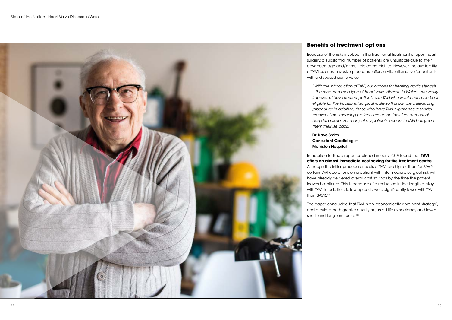### **Benefits of treatment options**

Because of the risks involved in the traditional treatment of open heart surgery, a substantial number of patients are unsuitable due to their advanced age and/or multiple comorbidities. However, the availability of TAVI as a less invasive procedure offers a vital alternative for patients with a diseased aortic valve.

In addition to this, a report published in early 2019 found that **TAVI offers an almost immediate cost saving for the treatment centre**. Although the initial procedural costs of TAVI are higher than for SAVR, certain TAVI operations on a patient with intermediate surgical risk will have already delivered overall cost savings by the time the patient leaves hospital.<sup>xx</sup> This is because of a reduction in the length of stay with TAVI. In addition, follow-up costs were significantly lower with TAVI than SAVR.xxx

*"With the introduction of TAVI, our options for treating aortic stenosis – the most common type of heart valve disease in Wales – are vastly improved. I have treated patients with TAVI who would not have been eligible for the traditional surgical route so this can be a life-saving procedure; in addition, those who have TAVI experience a shorter recovery time, meaning patients are up on their feet and out of hospital quicker. For many of my patients, access to TAVI has given them their life back."* 

The paper concluded that TAVI is an 'economically dominant strategy', and provides both greater quality-adjusted life expectancy and lower short- and long-term costs.xxx

#### Dr Dave Smith Consultant Cardiologist Morriston Hospital

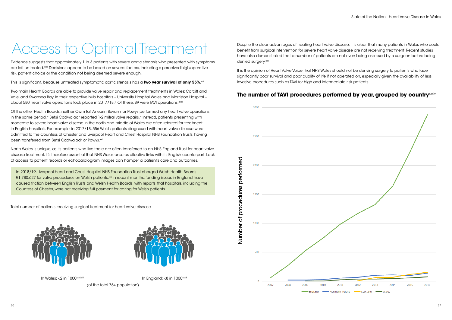# Access to Optimal Treatment

Evidence suggests that approximately 1 in 3 patients with severe aortic stenosis who presented with symptoms are left untreated.<sup>xxxi</sup> Decisions appear to be based on several factors, including a perceived high operative risk, patient choice or the condition not being deemed severe enough.

This is significant, because untreated symptomatic aortic stenosis has a **two year survival of only 55%**.<sup>xv</sup>i

Two main Health Boards are able to provide valve repair and replacement treatments in Wales: Cardiff and Vale, and Swansea Bay. In their respective hub hospitals – University Hospital Wales and Morriston Hospital – about 580 heart valve operations took place in 2017/18.<sup>iv</sup> Of these, 89 were TAVI operations. $^{\rm xxxii}$ 

Of the other Health Boards, neither Cwm Taf, Aneurin Bevan nor Powys performed any heart valve operations in the same period.<sup>iv</sup> Betsi Cadwaladr reported 1-2 mitral valve repairs.<sup>iv</sup> Instead, patients presenting with moderate to severe heart valve disease in the north and middle of Wales are often referred for treatment in English hospitals. For example, in 2017/18, 556 Welsh patients diagnosed with heart valve disease were admitted to the Countess of Chester and Liverpool Heart and Chest Hospital NHS Foundation Trusts, having been transferred from Betsi Cadwaladr or Powys.<sup>xxi</sup>

Despite the clear advantages of treating heart valve disease, it is clear that many patients in Wales who could benefit from surgical intervention for severe heart valve disease are not receiving treatment. Recent studies have also demonstrated that a number of patients are not even being assessed by a surgeon before being denied surgery.<sup>xxxi</sup>

North Wales is unique, as its patients who live there are often transferred to an NHS EnglandTrust for heart valve disease treatment. It's therefore essential that NHS Wales ensures effective links with its English counterpart. Lack of access to patient records or echocardiogram images can hamper a patient's care and outcomes.

In 2018/19, Liverpool Heart and Chest Hospital NHS Foundation Trust charged Welsh Health Boards £1,780,627 for valve procedures on Welsh patients.<sup>xxi</sup> In recent months, funding issues in England have caused friction between English Trusts and Welsh Health Boards, with reports that hospitals, including the Countess of Chester, were not receiving full payment for caring for Welsh patients.

Total number of patients receiving surgical treatment for heart valve disease





(of the total 75+ population)

It is the opinion of Heart Valve Voice that NHS Wales should not be denying surgery to patients who face significantly poor survival and poor quality of life if not operated on, especially given the availability of less invasive procedures such as TAVI for high and intermediate risk patients.

### **The number of TAVI procedures performed by year, grouped by country XXXIV**



Scotland  $-Waler$ 

Number of procedures performed

Number of procedures performed

In Wales: <2 in 1000<sup>xxxii,xiii</sup> in intervention of the latest state of the latest state of the latest state of the latest state of the latest state of the latest state of the latest state of the latest state of the latest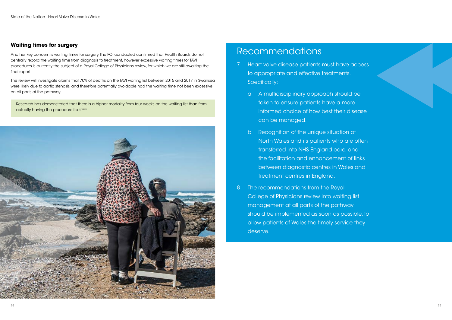#### **Waiting times for surgery**

Another key concern is waiting times for surgery. The FOI conducted confirmed that Health Boards do not centrally record the waiting time from diagnosis to treatment, however excessive waiting times for TAVI procedures is currently the subject of a Royal College of Physicians review, for which we are still awaiting the final report.

Research has demonstrated that there is a higher mortality from four weeks on the waiting list than from actually having the procedure itself.xxxv



The review will investigate claims that 70% of deaths on the TAVI waiting list between 2015 and 2017 in Swansea were likely due to aortic stenosis, and therefore potentially avoidable had the waiting time not been excessive on all parts of the pathway.

### Recommendations

- 7 Heart valve disease patients must have access to appropriate and effective treatments. Specifically:
	- a A multidisciplinary approach should be taken to ensure patients have a more informed choice of how best their disease can be managed.
	- b Recognition of the unique situation of North Wales and its patients who are often transferred into NHS England care, and the facilitation and enhancement of links between diagnostic centres in Wales and treatment centres in England.
- 8 The recommendations from the Royal College of Physicians review into waiting list management at all parts of the pathway should be implemented as soon as possible, to allow patients of Wales the timely service they deserve.

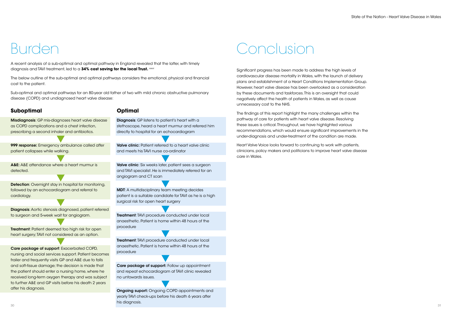A recent analysis of a sub-optimal and optimal pathway in England revealed that the latter, with timely diagnosis and TAVI treatment, led to a **34% cost saving for the local Trust.** xxxvi

### Burden

Misdiagnosis: GP mis-diagnoses heart valve disease as COPD complications and a chest infection, prescribing a second inhaler and antibiotics. 999 response: Emergency ambulance called after patient collapses while walking. A&E: A&E attendance where a heart murmur is detected. **Detection:** Overnight stay in hospital for monitoring, followed by an echocardiogram and referral to cardiology. Diagnosis: Aortic stenosis diagnosed, patient referred

The below outline of the sub-optimal and optimal pathways considers the emotional, physical and financial cost to the patient.

Sub-optimal and optimal pathways for an 80-year old father of two with mild chronic obstructive pulmonary disease (COPD) and undiagnosed heart valve disease:

#### **Suboptimal**

**Treatment: Patient deemed too high risk for open** heart surgery; TAVI not considered as an option.

Care package of support: Exacerbated COPD, nursing and social services support. Patient becomes frailer and frequently visits GP and A&E due to falls and soft-tissue damage; the decision is made that the patient should enter a nursing home, where he received long-term oxygen therapy and was subject to further A&E and GP visits before his death 2 years after his diagnosis.

Diagnosis: GP listens to patient's heart with a stethoscope, heard a heart murmur and referred him directly to hospital for an echocardiogram

Valve clinic: Patient referred to a heart valve clinic and meets his TAVI nurse co-ordinator

to surgeon and 5-week wait for angiogram.

Care package of support: Follow up appointment and repeat echocardiogram at TAVI clinic revealed no untowards issues.

 $30$ Ongoing suport: Ongoing COPD appointments and yearly TAVI check-ups before his death 6 years after his diagnosis.

#### **Optimal**

Valve clinic: Six weeks later, patient sees a surgeon and TAVI specialist. He is immediately referred for an angiogram and CT scan

MDT: A multidisciplinary team meeting decides patient is a suitable candidate for TAVI as he is a high surgical risk for open heart surgery

Treatment: TAVI procedure conducted under local anaesthetic. Patient is home within 48 hours of the procedure

Treatment: TAVI procedure conducted under local anaesthetic. Patient is home within 48 hours of the procedure

# Conclusion

Significant progress has been made to address the high levels of cardiovascular disease mortality in Wales, with the launch of delivery plans and establishment of a Heart Conditions Implementation Group. However, heart valve disease has been overlooked as a consideration by these documents and taskforces. This is an oversight that could negatively affect the health of patients in Wales, as well as cause unnecessary cost to the NHS.

The findings of this report highlight the many challenges within the pathway of care for patients with heart valve disease. Resolving these issues is critical. Throughout, we have highlighted various recommendations, which would ensure significant improvements in the under-diagnosis and under-treatment of the condition are made.

Heart Valve Voice looks forward to continuing to work with patients, clinicians, policy makers and politicians to improve heart valve disease care in Wales.